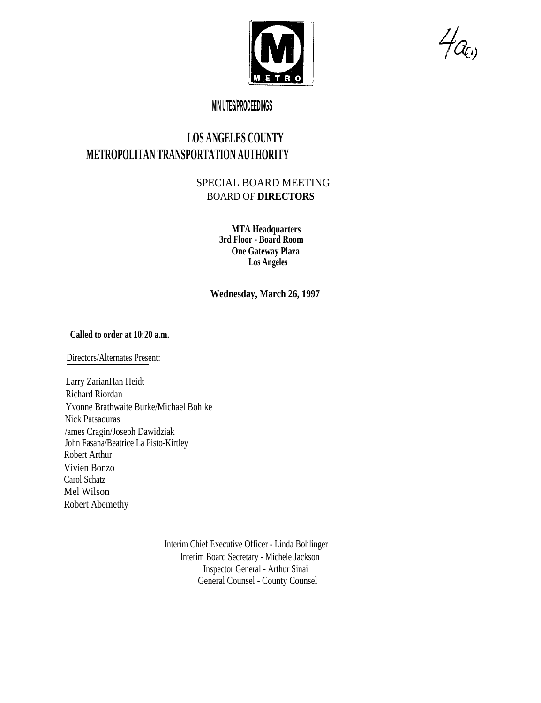

 $H_{\mathcal{C}\!\left( \nu\right) }$ 

## **MIN UTES/PROCEEDINGS**

## **LOS ANGELES COUNTY METROPOLITAN TRANSPORTATION AUTHORITY**

## SPECIAL BOARD MEETING BOARD OF **DIRECTORS**

**MTA Headquarters 3rd Floor - Board Room One Gateway Plaza Los Angeles**

**Wednesday, March 26, 1997**

## **Called to order at 10:20 a.m.**

Directors/Alternates Present:

Larry ZarianHan Heidt Richard Riordan Yvonne Brathwaite Burke/Michael Bohlke Nick Patsaouras /ames Cragin/Joseph Dawidziak John Fasana/Beatrice La Pisto-Kirtley Robert Arthur Vivien Bonzo Carol Schatz Mel Wilson Robert Abemethy

> Interim Chief Executive Officer - Linda Bohlinger Interim Board Secretary - Michele Jackson Inspector General - Arthur Sinai General Counsel - County Counsel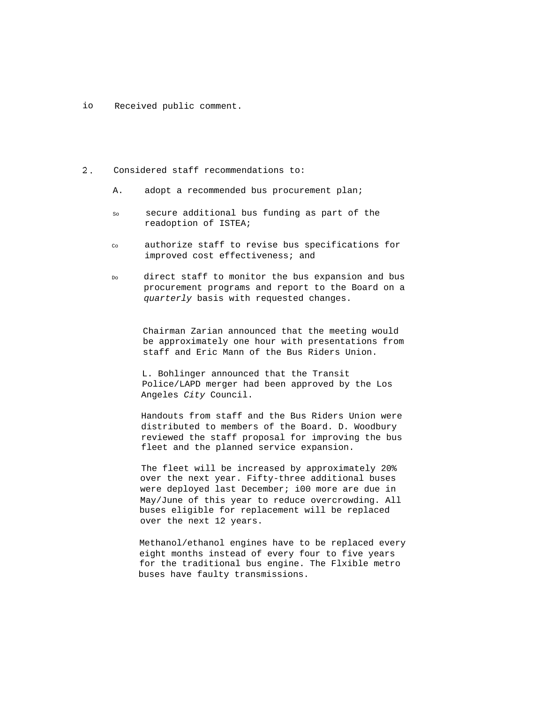io Received public comment.

- $2.$ Considered staff recommendations to:
	- A. adopt a recommended bus procurement plan;
	- so secure additional bus funding as part of the readoption of ISTEA;
	- Co authorize staff to revise bus specifications for improved cost effectiveness; and
	- Do direct staff to monitor the bus expansion and bus procurement programs and report to the Board on a quarterly basis with requested changes.

Chairman Zarian announced that the meeting would be approximately one hour with presentations from staff and Eric Mann of the Bus Riders Union.

L. Bohlinger announced that the Transit Police/LAPD merger had been approved by the Los Angeles City Council.

Handouts from staff and the Bus Riders Union were distributed to members of the Board. D. Woodbury reviewed the staff proposal for improving the bus fleet and the planned service expansion.

The fleet will be increased by approximately 20% over the next year. Fifty-three additional buses were deployed last December; i00 more are due in May/June of this year to reduce overcrowding. All buses eligible for replacement will be replaced over the next 12 years.

Methanol/ethanol engines have to be replaced every eight months instead of every four to five years for the traditional bus engine. The Flxible metro buses have faulty transmissions.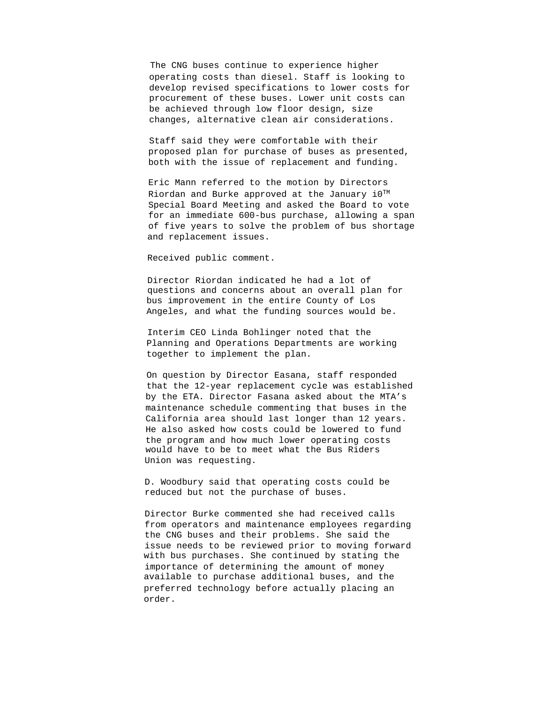The CNG buses continue to experience higher operating costs than diesel. Staff is looking to develop revised specifications to lower costs for procurement of these buses. Lower unit costs can be achieved through low floor design, size changes, alternative clean air considerations.

Staff said they were comfortable with their proposed plan for purchase of buses as presented, both with the issue of replacement and funding.

Eric Mann referred to the motion by Directors Riordan and Burke approved at the January i0TM Special Board Meeting and asked the Board to vote for an immediate 600-bus purchase, allowing a span of five years to solve the problem of bus shortage and replacement issues.

Received public comment.

Director Riordan indicated he had a lot of questions and concerns about an overall plan for bus improvement in the entire County of Los Angeles, and what the funding sources would be.

Interim CEO Linda Bohlinger noted that the Planning and Operations Departments are working together to implement the plan.

On question by Director Easana, staff responded that the 12-year replacement cycle was established by the ETA. Director Fasana asked about the MTA's maintenance schedule commenting that buses in the California area should last longer than 12 years. He also asked how costs could be lowered to fund the program and how much lower operating costs would have to be to meet what the Bus Riders Union was requesting.

D. Woodbury said that operating costs could be reduced but not the purchase of buses.

Director Burke commented she had received calls from operators and maintenance employees regarding the CNG buses and their problems. She said the issue needs to be reviewed prior to moving forward with bus purchases. She continued by stating the importance of determining the amount of money available to purchase additional buses, and the preferred technology before actually placing an order.